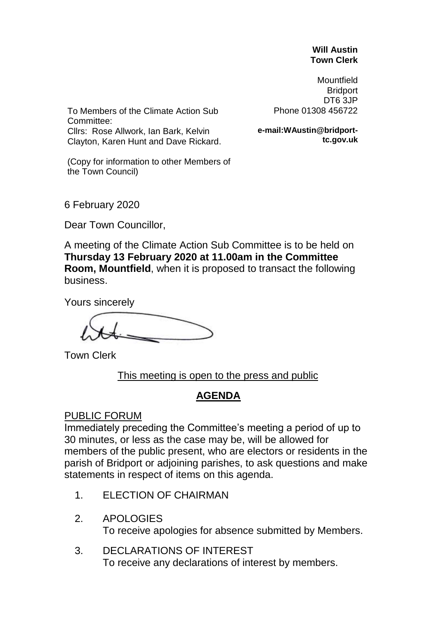#### **Will Austin Town Clerk**

Mountfield **Bridport** DT6 3JP Phone 01308 456722

To Members of the Climate Action Sub Committee: Cllrs: Rose Allwork, Ian Bark, Kelvin Clayton, Karen Hunt and Dave Rickard.

**e-mail:WAustin@bridporttc.gov.uk**

(Copy for information to other Members of the Town Council)

6 February 2020

Dear Town Councillor,

A meeting of the Climate Action Sub Committee is to be held on **Thursday 13 February 2020 at 11.00am in the Committee Room, Mountfield**, when it is proposed to transact the following business.

Yours sincerely

Town Clerk

This meeting is open to the press and public

# **AGENDA**

#### PUBLIC FORUM

Immediately preceding the Committee's meeting a period of up to 30 minutes, or less as the case may be, will be allowed for members of the public present, who are electors or residents in the parish of Bridport or adjoining parishes, to ask questions and make statements in respect of items on this agenda.

- 1. ELECTION OF CHAIRMAN
- 2. APOLOGIES To receive apologies for absence submitted by Members.
- 3. DECLARATIONS OF INTEREST To receive any declarations of interest by members.